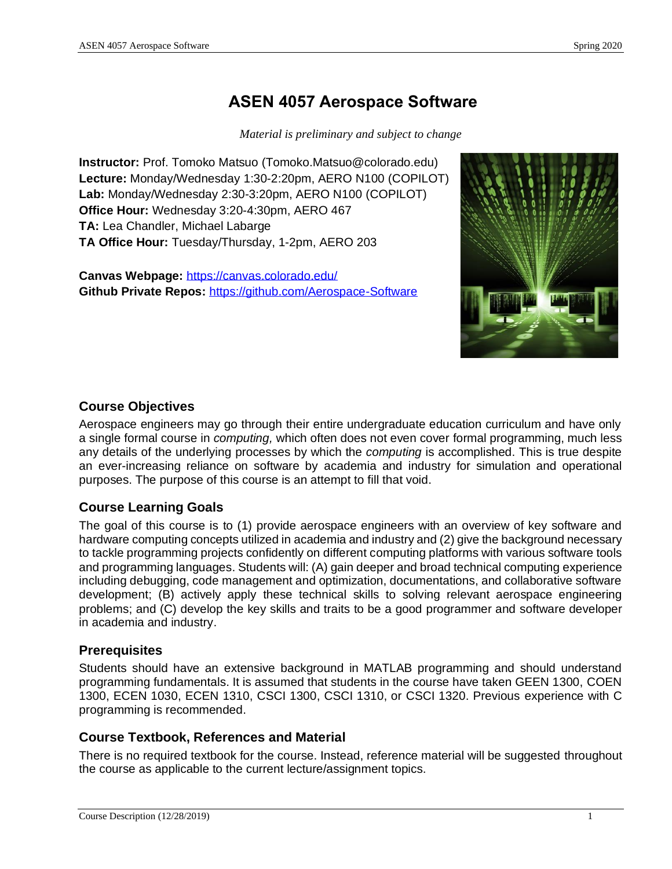# **ASEN 4057 Aerospace Software**

*Material is preliminary and subject to change*

**Instructor:** Prof. Tomoko Matsuo (Tomoko.Matsuo@colorado.edu) **Lecture:** Monday/Wednesday 1:30-2:20pm, AERO N100 (COPILOT) **Lab:** Monday/Wednesday 2:30-3:20pm, AERO N100 (COPILOT) **Office Hour:** Wednesday 3:20-4:30pm, AERO 467 **TA:** Lea Chandler, Michael Labarge **TA Office Hour:** Tuesday/Thursday, 1-2pm, AERO 203

**Canvas Webpage:** https://canvas.colorado.edu/ **Github Private Repos:** <https://github.com/Aerospace-Software>



# **Course Objectives**

Aerospace engineers may go through their entire undergraduate education curriculum and have only a single formal course in *computing,* which often does not even cover formal programming, much less any details of the underlying processes by which the *computing* is accomplished. This is true despite an ever-increasing reliance on software by academia and industry for simulation and operational purposes. The purpose of this course is an attempt to fill that void.

# **Course Learning Goals**

The goal of this course is to (1) provide aerospace engineers with an overview of key software and hardware computing concepts utilized in academia and industry and (2) give the background necessary to tackle programming projects confidently on different computing platforms with various software tools and programming languages. Students will: (A) gain deeper and broad technical computing experience including debugging, code management and optimization, documentations, and collaborative software development; (B) actively apply these technical skills to solving relevant aerospace engineering problems; and (C) develop the key skills and traits to be a good programmer and software developer in academia and industry.

# **Prerequisites**

Students should have an extensive background in MATLAB programming and should understand programming fundamentals. It is assumed that students in the course have taken GEEN 1300, COEN 1300, ECEN 1030, ECEN 1310, CSCI 1300, CSCI 1310, or CSCI 1320. Previous experience with C programming is recommended.

# **Course Textbook, References and Material**

There is no required textbook for the course. Instead, reference material will be suggested throughout the course as applicable to the current lecture/assignment topics.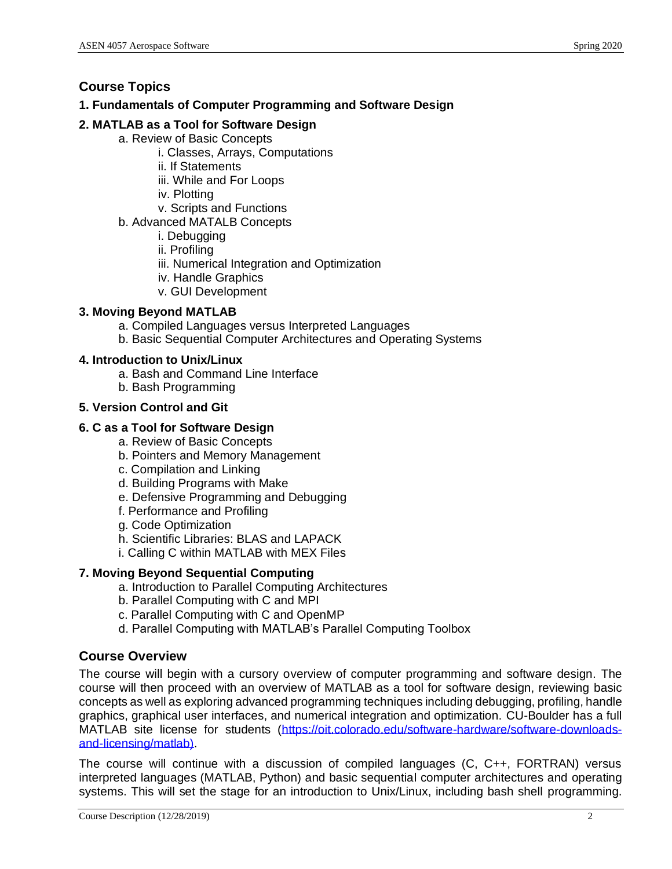# **Course Topics**

# **1. Fundamentals of Computer Programming and Software Design**

# **2. MATLAB as a Tool for Software Design**

- a. Review of Basic Concepts
	- i. Classes, Arrays, Computations
	- ii. If Statements
	- iii. While and For Loops
	- iv. Plotting
	- v. Scripts and Functions
- b. Advanced MATALB Concepts
	- i. Debugging
	- ii. Profiling
	- iii. Numerical Integration and Optimization
	- iv. Handle Graphics
	- v. GUI Development

# **3. Moving Beyond MATLAB**

- a. Compiled Languages versus Interpreted Languages
- b. Basic Sequential Computer Architectures and Operating Systems

# **4. Introduction to Unix/Linux**

- a. Bash and Command Line Interface
- b. Bash Programming

### **5. Version Control and Git**

# **6. C as a Tool for Software Design**

- a. Review of Basic Concepts
- b. Pointers and Memory Management
- c. Compilation and Linking
- d. Building Programs with Make
- e. Defensive Programming and Debugging
- f. Performance and Profiling
- g. Code Optimization
- h. Scientific Libraries: BLAS and LAPACK
- i. Calling C within MATLAB with MEX Files

# **7. Moving Beyond Sequential Computing**

- a. Introduction to Parallel Computing Architectures
- b. Parallel Computing with C and MPI
- c. Parallel Computing with C and OpenMP
- d. Parallel Computing with MATLAB's Parallel Computing Toolbox

# **Course Overview**

The course will begin with a cursory overview of computer programming and software design. The course will then proceed with an overview of MATLAB as a tool for software design, reviewing basic concepts as well as exploring advanced programming techniques including debugging, profiling, handle graphics, graphical user interfaces, and numerical integration and optimization. CU-Boulder has a full MATLAB site license for students [\(https://oit.colorado.edu/software-hardware/software-downloads](https://oit.colorado.edu/software-hardware/software-downloads-and-licensing/matlab))[and-licensing/matlab\).](https://oit.colorado.edu/software-hardware/software-downloads-and-licensing/matlab))

The course will continue with a discussion of compiled languages (C, C++, FORTRAN) versus interpreted languages (MATLAB, Python) and basic sequential computer architectures and operating systems. This will set the stage for an introduction to Unix/Linux, including bash shell programming.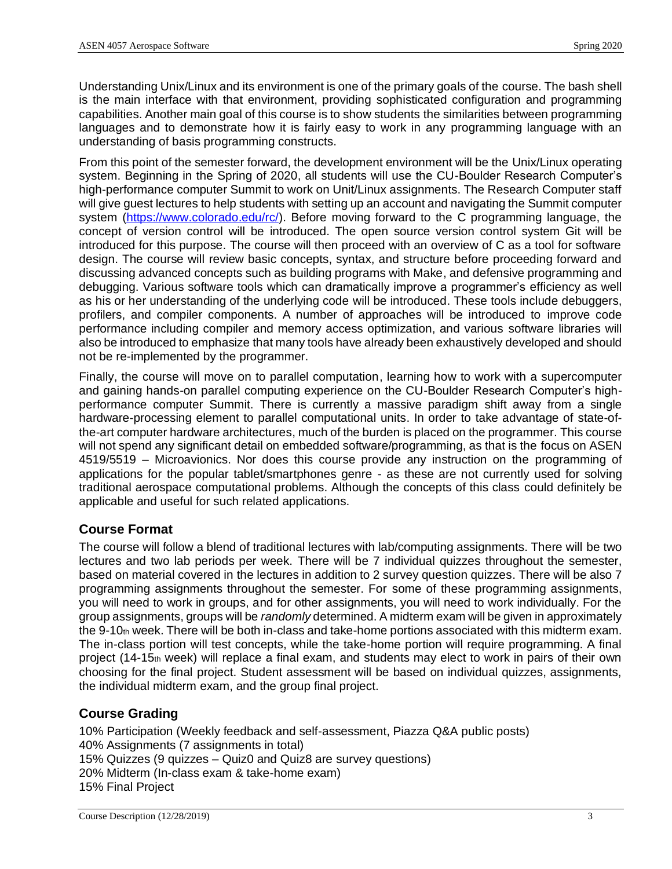Understanding Unix/Linux and its environment is one of the primary goals of the course. The bash shell is the main interface with that environment, providing sophisticated configuration and programming capabilities. Another main goal of this course is to show students the similarities between programming languages and to demonstrate how it is fairly easy to work in any programming language with an understanding of basis programming constructs.

From this point of the semester forward, the development environment will be the Unix/Linux operating system. Beginning in the Spring of 2020, all students will use the CU-Boulder Research Computer's high-performance computer Summit to work on Unit/Linux assignments. The Research Computer staff will give guest lectures to help students with setting up an account and navigating the Summit computer system [\(https://www.colorado.edu/rc/\)](https://www.colorado.edu/rc/). Before moving forward to the C programming language, the concept of version control will be introduced. The open source version control system Git will be introduced for this purpose. The course will then proceed with an overview of C as a tool for software design. The course will review basic concepts, syntax, and structure before proceeding forward and discussing advanced concepts such as building programs with Make, and defensive programming and debugging. Various software tools which can dramatically improve a programmer's efficiency as well as his or her understanding of the underlying code will be introduced. These tools include debuggers, profilers, and compiler components. A number of approaches will be introduced to improve code performance including compiler and memory access optimization, and various software libraries will also be introduced to emphasize that many tools have already been exhaustively developed and should not be re-implemented by the programmer.

Finally, the course will move on to parallel computation, learning how to work with a supercomputer and gaining hands-on parallel computing experience on the CU-Boulder Research Computer's highperformance computer Summit. There is currently a massive paradigm shift away from a single hardware-processing element to parallel computational units. In order to take advantage of state-ofthe-art computer hardware architectures, much of the burden is placed on the programmer. This course will not spend any significant detail on embedded software/programming, as that is the focus on ASEN 4519/5519 – Microavionics. Nor does this course provide any instruction on the programming of applications for the popular tablet/smartphones genre - as these are not currently used for solving traditional aerospace computational problems. Although the concepts of this class could definitely be applicable and useful for such related applications.

# **Course Format**

The course will follow a blend of traditional lectures with lab/computing assignments. There will be two lectures and two lab periods per week. There will be 7 individual quizzes throughout the semester, based on material covered in the lectures in addition to 2 survey question quizzes. There will be also 7 programming assignments throughout the semester. For some of these programming assignments, you will need to work in groups, and for other assignments, you will need to work individually. For the group assignments, groups will be *randomly* determined. A midterm exam will be given in approximately the 9-10th week. There will be both in-class and take-home portions associated with this midterm exam. The in-class portion will test concepts, while the take-home portion will require programming. A final project (14-15th week) will replace a final exam, and students may elect to work in pairs of their own choosing for the final project. Student assessment will be based on individual quizzes, assignments, the individual midterm exam, and the group final project.

# **Course Grading**

10% Participation (Weekly feedback and self-assessment, Piazza Q&A public posts) 40% Assignments (7 assignments in total) 15% Quizzes (9 quizzes – Quiz0 and Quiz8 are survey questions) 20% Midterm (In-class exam & take-home exam) 15% Final Project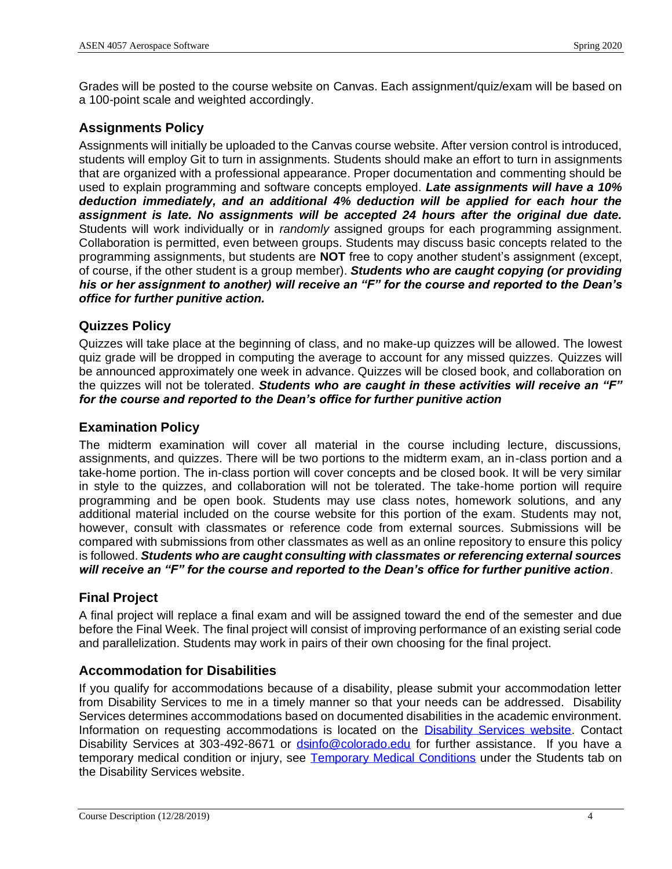Grades will be posted to the course website on Canvas. Each assignment/quiz/exam will be based on a 100-point scale and weighted accordingly.

# **Assignments Policy**

Assignments will initially be uploaded to the Canvas course website. After version control is introduced, students will employ Git to turn in assignments. Students should make an effort to turn in assignments that are organized with a professional appearance. Proper documentation and commenting should be used to explain programming and software concepts employed. *Late assignments will have a 10% deduction immediately, and an additional 4% deduction will be applied for each hour the assignment is late. No assignments will be accepted 24 hours after the original due date.*  Students will work individually or in *randomly* assigned groups for each programming assignment. Collaboration is permitted, even between groups. Students may discuss basic concepts related to the programming assignments, but students are **NOT** free to copy another student's assignment (except, of course, if the other student is a group member). *Students who are caught copying (or providing his or her assignment to another) will receive an "F" for the course and reported to the Dean's office for further punitive action.*

### **Quizzes Policy**

Quizzes will take place at the beginning of class, and no make-up quizzes will be allowed. The lowest quiz grade will be dropped in computing the average to account for any missed quizzes. Quizzes will be announced approximately one week in advance. Quizzes will be closed book, and collaboration on the quizzes will not be tolerated. *Students who are caught in these activities will receive an "F" for the course and reported to the Dean's office for further punitive action*

### **Examination Policy**

The midterm examination will cover all material in the course including lecture, discussions, assignments, and quizzes. There will be two portions to the midterm exam, an in-class portion and a take-home portion. The in-class portion will cover concepts and be closed book. It will be very similar in style to the quizzes, and collaboration will not be tolerated. The take-home portion will require programming and be open book. Students may use class notes, homework solutions, and any additional material included on the course website for this portion of the exam. Students may not, however, consult with classmates or reference code from external sources. Submissions will be compared with submissions from other classmates as well as an online repository to ensure this policy is followed. *Students who are caught consulting with classmates or referencing external sources will receive an "F" for the course and reported to the Dean's office for further punitive action*.

#### **Final Project**

A final project will replace a final exam and will be assigned toward the end of the semester and due before the Final Week. The final project will consist of improving performance of an existing serial code and parallelization. Students may work in pairs of their own choosing for the final project.

#### **Accommodation for Disabilities**

If you qualify for accommodations because of a disability, please submit your accommodation letter from Disability Services to me in a timely manner so that your needs can be addressed. Disability Services determines accommodations based on documented disabilities in the academic environment. Information on requesting accommodations is located on the [Disability Services website.](http://www.colorado.edu/disabilityservices/students) Contact Disability Services at 303-492-8671 or [dsinfo@colorado.edu](mailto:dsinfo@colorado.edu) for further assistance. If you have a temporary medical condition or injury, see [Temporary Medical Conditions](http://www.colorado.edu/disabilityservices/students/temporary-medical-conditions) under the Students tab on the Disability Services website.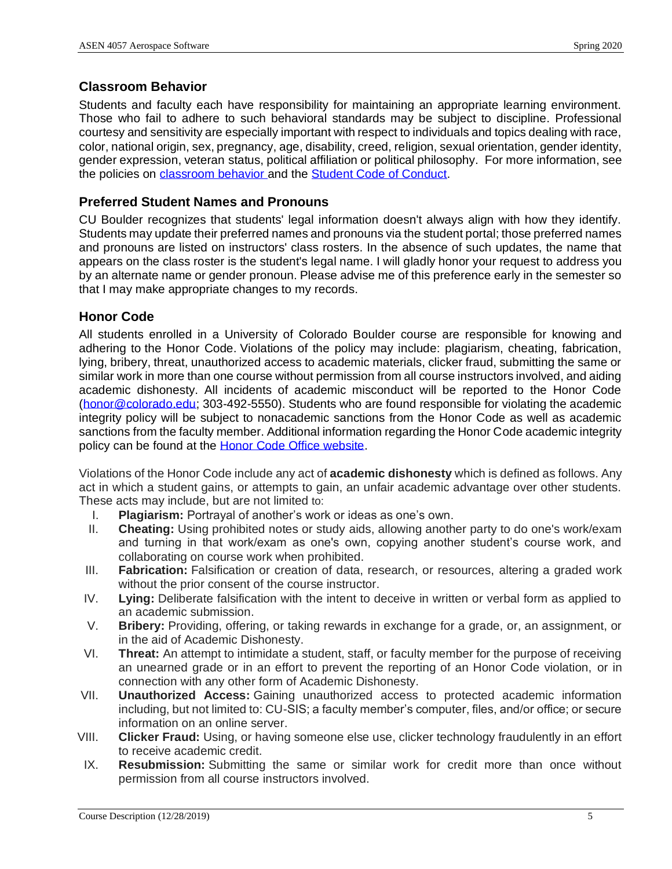### **Classroom Behavior**

Students and faculty each have responsibility for maintaining an appropriate learning environment. Those who fail to adhere to such behavioral standards may be subject to discipline. Professional courtesy and sensitivity are especially important with respect to individuals and topics dealing with race, color, national origin, sex, pregnancy, age, disability, creed, religion, sexual orientation, gender identity, gender expression, veteran status, political affiliation or political philosophy. For more information, see the policies on [classroom behavior](http://www.colorado.edu/policies/student-classroom-and-course-related-behavior) and the [Student Code of Conduct.](http://www.colorado.edu/osccr/)

### **Preferred Student Names and Pronouns**

CU Boulder recognizes that students' legal information doesn't always align with how they identify. Students may update their preferred names and pronouns via the student portal; those preferred names and pronouns are listed on instructors' class rosters. In the absence of such updates, the name that appears on the class roster is the student's legal name. I will gladly honor your request to address you by an alternate name or gender pronoun. Please advise me of this preference early in the semester so that I may make appropriate changes to my records.

# **Honor Code**

All students enrolled in a University of Colorado Boulder course are responsible for knowing and adhering to the Honor Code. Violations of the policy may include: plagiarism, cheating, fabrication, lying, bribery, threat, unauthorized access to academic materials, clicker fraud, submitting the same or similar work in more than one course without permission from all course instructors involved, and aiding academic dishonesty. All incidents of academic misconduct will be reported to the Honor Code [\(honor@colorado.edu;](mailto:honor@colorado.edu) 303-492-5550). Students who are found responsible for violating the academic integrity policy will be subject to nonacademic sanctions from the Honor Code as well as academic sanctions from the faculty member. Additional information regarding the Honor Code academic integrity policy can be found at the [Honor Code Office website.](https://www.colorado.edu/osccr/honor-code)

Violations of the Honor Code include any act of **academic dishonesty** which is defined as follows. Any act in which a student gains, or attempts to gain, an unfair academic advantage over other students. These acts may include, but are not limited to:

- I. **Plagiarism:** Portrayal of another's work or ideas as one's own.
- II. **Cheating:** Using prohibited notes or study aids, allowing another party to do one's work/exam and turning in that work/exam as one's own, copying another student's course work, and collaborating on course work when prohibited.
- III. **Fabrication:** Falsification or creation of data, research, or resources, altering a graded work without the prior consent of the course instructor.
- IV. **Lying:** Deliberate falsification with the intent to deceive in written or verbal form as applied to an academic submission.
- V. **Bribery:** Providing, offering, or taking rewards in exchange for a grade, or, an assignment, or in the aid of Academic Dishonesty.
- VI. **Threat:** An attempt to intimidate a student, staff, or faculty member for the purpose of receiving an unearned grade or in an effort to prevent the reporting of an Honor Code violation, or in connection with any other form of Academic Dishonesty.
- VII. **Unauthorized Access:** Gaining unauthorized access to protected academic information including, but not limited to: CU-SIS; a faculty member's computer, files, and/or office; or secure information on an online server.
- VIII. **Clicker Fraud:** Using, or having someone else use, clicker technology fraudulently in an effort to receive academic credit.
- IX. **Resubmission:** Submitting the same or similar work for credit more than once without permission from all course instructors involved.